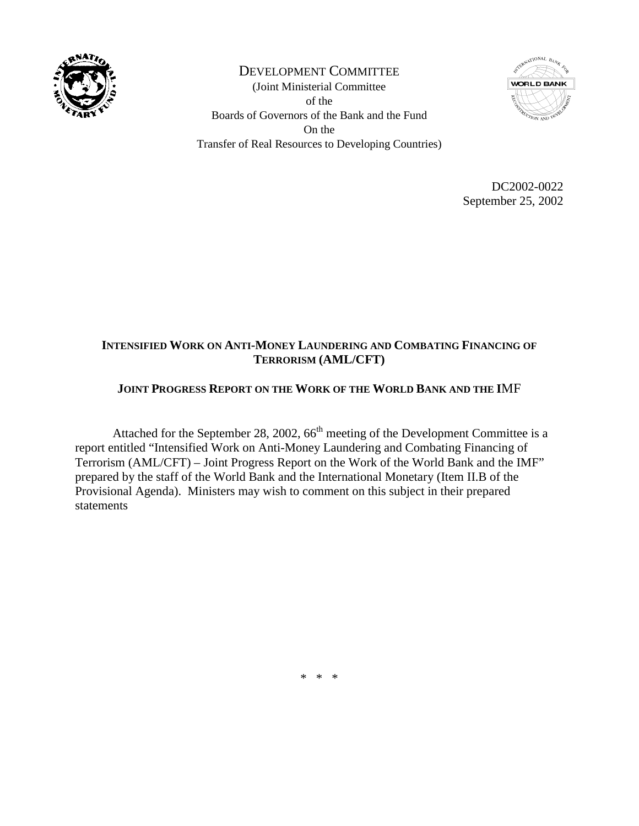

DEVELOPMENT COMMITTEE (Joint Ministerial Committee of the Boards of Governors of the Bank and the Fund On the Transfer of Real Resources to Developing Countries)



DC2002-0022 September 25, 2002

## **INTENSIFIED WORK ON ANTI-MONEY LAUNDERING AND COMBATING FINANCING OF TERRORISM (AML/CFT)**

## **JOINT PROGRESS REPORT ON THE WORK OF THE WORLD BANK AND THE I**MF

Attached for the September 28, 2002,  $66<sup>th</sup>$  meeting of the Development Committee is a report entitled "Intensified Work on Anti-Money Laundering and Combating Financing of Terrorism (AML/CFT) – Joint Progress Report on the Work of the World Bank and the IMF" prepared by the staff of the World Bank and the International Monetary (Item II.B of the Provisional Agenda). Ministers may wish to comment on this subject in their prepared statements

\* \* \*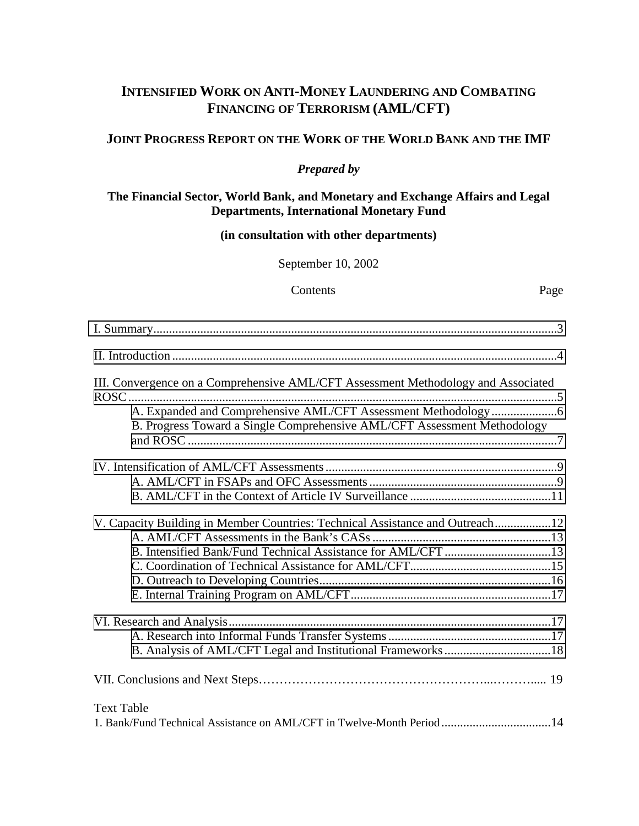# **INTENSIFIED WORK ON ANTI-MONEY LAUNDERING AND COMBATING FINANCING OF TERRORISM (AML/CFT)**

### **JOINT PROGRESS REPORT ON THE WORK OF THE WORLD BANK AND THE IMF**

## *Prepared by*

#### **The Financial Sector, World Bank, and Monetary and Exchange Affairs and Legal Departments, International Monetary Fund**

### **(in consultation with other departments)**

September 10, 2002

#### Contents Page

| III. Convergence on a Comprehensive AML/CFT Assessment Methodology and Associated |  |
|-----------------------------------------------------------------------------------|--|
|                                                                                   |  |
|                                                                                   |  |
| B. Progress Toward a Single Comprehensive AML/CFT Assessment Methodology          |  |
|                                                                                   |  |
|                                                                                   |  |
|                                                                                   |  |
| V. Capacity Building in Member Countries: Technical Assistance and Outreach12     |  |
|                                                                                   |  |
| B. Intensified Bank/Fund Technical Assistance for AML/CFT 13                      |  |
|                                                                                   |  |
|                                                                                   |  |
|                                                                                   |  |
|                                                                                   |  |
|                                                                                   |  |
|                                                                                   |  |
|                                                                                   |  |
| <b>Text Table</b>                                                                 |  |
| 1. Bank/Fund Technical Assistance on AML/CFT in Twelve-Month Period 14            |  |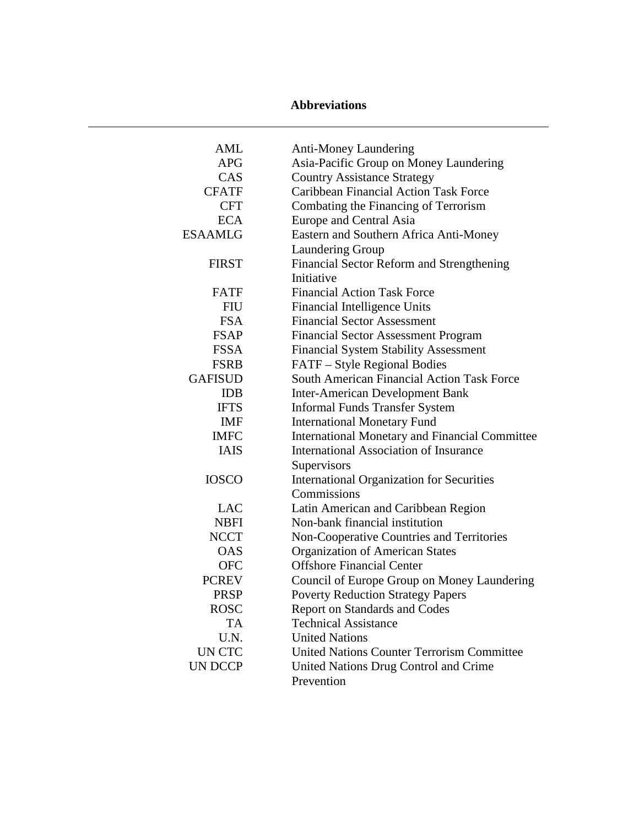## **Abbreviations**

| <b>AML</b>     | <b>Anti-Money Laundering</b>                          |  |  |  |  |
|----------------|-------------------------------------------------------|--|--|--|--|
| <b>APG</b>     | Asia-Pacific Group on Money Laundering                |  |  |  |  |
| CAS            | <b>Country Assistance Strategy</b>                    |  |  |  |  |
| <b>CFATF</b>   | <b>Caribbean Financial Action Task Force</b>          |  |  |  |  |
| <b>CFT</b>     | Combating the Financing of Terrorism                  |  |  |  |  |
| <b>ECA</b>     | <b>Europe and Central Asia</b>                        |  |  |  |  |
| ESAAMLG        | Eastern and Southern Africa Anti-Money                |  |  |  |  |
|                | Laundering Group                                      |  |  |  |  |
| <b>FIRST</b>   | Financial Sector Reform and Strengthening             |  |  |  |  |
|                | Initiative                                            |  |  |  |  |
| <b>FATF</b>    | <b>Financial Action Task Force</b>                    |  |  |  |  |
| <b>FIU</b>     | Financial Intelligence Units                          |  |  |  |  |
| <b>FSA</b>     | <b>Financial Sector Assessment</b>                    |  |  |  |  |
| <b>FSAP</b>    | <b>Financial Sector Assessment Program</b>            |  |  |  |  |
| <b>FSSA</b>    | <b>Financial System Stability Assessment</b>          |  |  |  |  |
| <b>FSRB</b>    | FATF - Style Regional Bodies                          |  |  |  |  |
| <b>GAFISUD</b> | <b>South American Financial Action Task Force</b>     |  |  |  |  |
| <b>IDB</b>     | <b>Inter-American Development Bank</b>                |  |  |  |  |
| <b>IFTS</b>    | <b>Informal Funds Transfer System</b>                 |  |  |  |  |
| <b>IMF</b>     | <b>International Monetary Fund</b>                    |  |  |  |  |
| <b>IMFC</b>    | <b>International Monetary and Financial Committee</b> |  |  |  |  |
| <b>IAIS</b>    | <b>International Association of Insurance</b>         |  |  |  |  |
|                | Supervisors                                           |  |  |  |  |
| <b>IOSCO</b>   | <b>International Organization for Securities</b>      |  |  |  |  |
|                | Commissions                                           |  |  |  |  |
| LAC            | Latin American and Caribbean Region                   |  |  |  |  |
| <b>NBFI</b>    | Non-bank financial institution                        |  |  |  |  |
| <b>NCCT</b>    | Non-Cooperative Countries and Territories             |  |  |  |  |
| <b>OAS</b>     | <b>Organization of American States</b>                |  |  |  |  |
| <b>OFC</b>     | <b>Offshore Financial Center</b>                      |  |  |  |  |
| <b>PCREV</b>   | Council of Europe Group on Money Laundering           |  |  |  |  |
| <b>PRSP</b>    | <b>Poverty Reduction Strategy Papers</b>              |  |  |  |  |
| <b>ROSC</b>    | <b>Report on Standards and Codes</b>                  |  |  |  |  |
| TA             | <b>Technical Assistance</b>                           |  |  |  |  |
| U.N.           | <b>United Nations</b>                                 |  |  |  |  |
| UN CTC         | <b>United Nations Counter Terrorism Committee</b>     |  |  |  |  |
| UN DCCP        | United Nations Drug Control and Crime                 |  |  |  |  |
|                | Prevention                                            |  |  |  |  |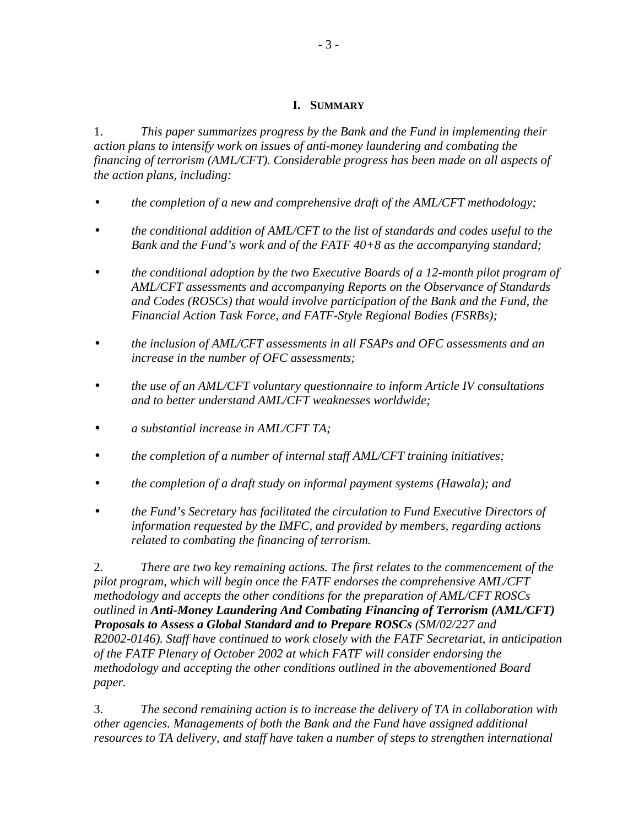### **I. SUMMARY**

<span id="page-3-0"></span>1. *This paper summarizes progress by the Bank and the Fund in implementing their action plans to intensify work on issues of anti-money laundering and combating the financing of terrorism (AML/CFT). Considerable progress has been made on all aspects of the action plans, including:* 

- *the completion of a new and comprehensive draft of the AML/CFT methodology;*
- *the conditional addition of AML/CFT to the list of standards and codes useful to the Bank and the Fund's work and of the FATF 40+8 as the accompanying standard;*
- *the conditional adoption by the two Executive Boards of a 12-month pilot program of AML/CFT assessments and accompanying Reports on the Observance of Standards and Codes (ROSCs) that would involve participation of the Bank and the Fund, the Financial Action Task Force, and FATF-Style Regional Bodies (FSRBs);*
- *the inclusion of AML/CFT assessments in all FSAPs and OFC assessments and an increase in the number of OFC assessments;*
- *the use of an AML/CFT voluntary questionnaire to inform Article IV consultations and to better understand AML/CFT weaknesses worldwide;*
- *a substantial increase in AML/CFT TA;*
- *the completion of a number of internal staff AML/CFT training initiatives;*
- *the completion of a draft study on informal payment systems (Hawala); and*
- *the Fund's Secretary has facilitated the circulation to Fund Executive Directors of information requested by the IMFC, and provided by members, regarding actions related to combating the financing of terrorism.*

2. *There are two key remaining actions. The first relates to the commencement of the pilot program, which will begin once the FATF endorses the comprehensive AML/CFT methodology and accepts the other conditions for the preparation of AML/CFT ROSCs outlined in Anti-Money Laundering And Combating Financing of Terrorism (AML/CFT) Proposals to Assess a Global Standard and to Prepare ROSCs (SM/02/227 and R2002-0146). Staff have continued to work closely with the FATF Secretariat, in anticipation of the FATF Plenary of October 2002 at which FATF will consider endorsing the methodology and accepting the other conditions outlined in the abovementioned Board paper.* 

3. *The second remaining action is to increase the delivery of TA in collaboration with other agencies. Managements of both the Bank and the Fund have assigned additional resources to TA delivery, and staff have taken a number of steps to strengthen international*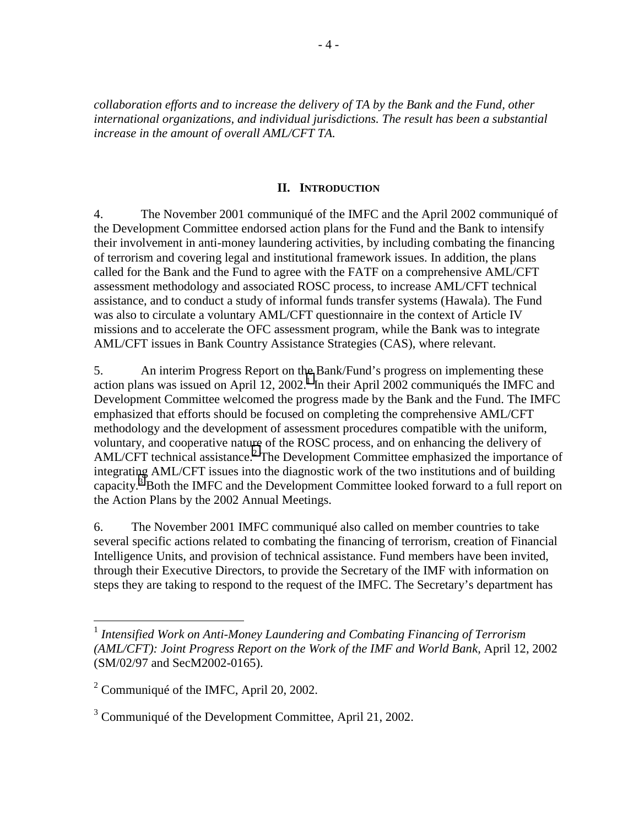<span id="page-4-0"></span>*collaboration efforts and to increase the delivery of TA by the Bank and the Fund, other international organizations, and individual jurisdictions. The result has been a substantial increase in the amount of overall AML/CFT TA.*

### **II. INTRODUCTION**

4. The November 2001 communiqué of the IMFC and the April 2002 communiqué of the Development Committee endorsed action plans for the Fund and the Bank to intensify their involvement in anti-money laundering activities, by including combating the financing of terrorism and covering legal and institutional framework issues. In addition, the plans called for the Bank and the Fund to agree with the FATF on a comprehensive AML/CFT assessment methodology and associated ROSC process, to increase AML/CFT technical assistance, and to conduct a study of informal funds transfer systems (Hawala). The Fund was also to circulate a voluntary AML/CFT questionnaire in the context of Article IV missions and to accelerate the OFC assessment program, while the Bank was to integrate AML/CFT issues in Bank Country Assistance Strategies (CAS), where relevant.

5. An interim Progress Report on the Bank/Fund's progress on implementing these action plans was issued on April  $12$ ,  $2002$ .<sup>1</sup> In their April  $2002$  communiqués the IMFC and Development Committee welcomed the progress made by the Bank and the Fund. The IMFC emphasized that efforts should be focused on completing the comprehensive AML/CFT methodology and the development of assessment procedures compatible with the uniform, voluntary, and cooperative nature of the ROSC process, and on enhancing the delivery of AML/CFT technical assistance.<sup>2</sup> The Development Committee emphasized the importance of integrating AML/CFT issues into the diagnostic work of the two institutions and of building capacity.<sup>3</sup> Both the IMFC and the Development Committee looked forward to a full report on the Action Plans by the 2002 Annual Meetings.

6. The November 2001 IMFC communiqué also called on member countries to take several specific actions related to combating the financing of terrorism, creation of Financial Intelligence Units, and provision of technical assistance. Fund members have been invited, through their Executive Directors, to provide the Secretary of the IMF with information on steps they are taking to respond to the request of the IMFC. The Secretary's department has

1

<sup>1</sup> *Intensified Work on Anti-Money Laundering and Combating Financing of Terrorism (AML/CFT): Joint Progress Report on the Work of the IMF and World Bank, April 12, 2002* (SM/02/97 and SecM2002-0165).

<sup>&</sup>lt;sup>2</sup> Communiqué of the IMFC, April 20, 2002.

 $3$  Communiqué of the Development Committee, April 21, 2002.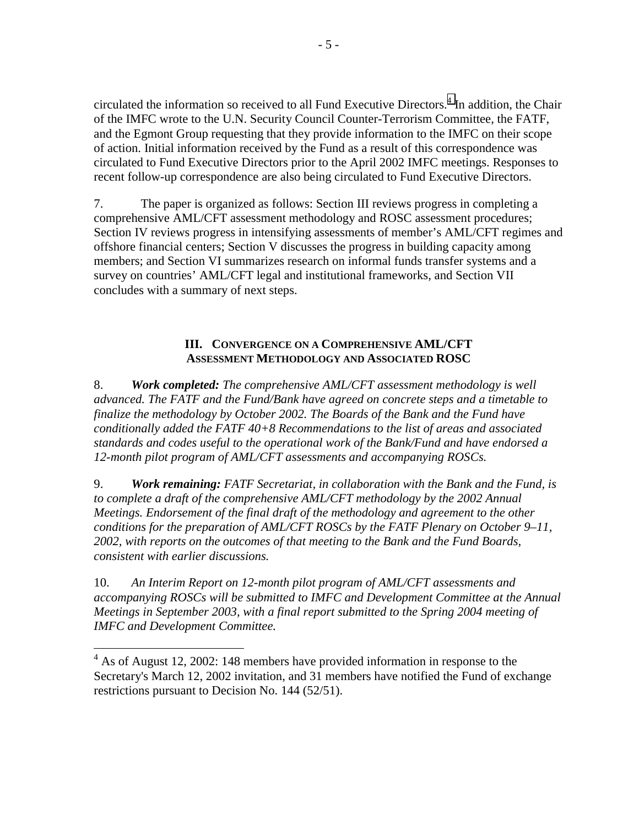<span id="page-5-0"></span>circulated the information so received to all Fund Executive Directors.<sup>4</sup> In addition, the Chair of the IMFC wrote to the U.N. Security Council Counter-Terrorism Committee, the FATF, and the Egmont Group requesting that they provide information to the IMFC on their scope of action. Initial information received by the Fund as a result of this correspondence was circulated to Fund Executive Directors prior to the April 2002 IMFC meetings. Responses to recent follow-up correspondence are also being circulated to Fund Executive Directors.

7. The paper is organized as follows: Section III reviews progress in completing a comprehensive AML/CFT assessment methodology and ROSC assessment procedures; Section IV reviews progress in intensifying assessments of member's AML/CFT regimes and offshore financial centers; Section V discusses the progress in building capacity among members; and Section VI summarizes research on informal funds transfer systems and a survey on countries' AML/CFT legal and institutional frameworks, and Section VII concludes with a summary of next steps.

### **III. CONVERGENCE ON A COMPREHENSIVE AML/CFT ASSESSMENT METHODOLOGY AND ASSOCIATED ROSC**

8. *Work completed: The comprehensive AML/CFT assessment methodology is well advanced. The FATF and the Fund/Bank have agreed on concrete steps and a timetable to finalize the methodology by October 2002. The Boards of the Bank and the Fund have conditionally added the FATF 40+8 Recommendations to the list of areas and associated standards and codes useful to the operational work of the Bank/Fund and have endorsed a 12-month pilot program of AML/CFT assessments and accompanying ROSCs.* 

9. *Work remaining: FATF Secretariat, in collaboration with the Bank and the Fund, is*  to complete a draft of the comprehensive AML/CFT methodology by the 2002 Annual *Meetings. Endorsement of the final draft of the methodology and agreement to the other conditions for the preparation of AML/CFT ROSCs by the FATF Plenary on October 9–11, 2002, with reports on the outcomes of that meeting to the Bank and the Fund Boards, consistent with earlier discussions.* 

10. *An Interim Report on 12-month pilot program of AML/CFT assessments and accompanying ROSCs will be submitted to IMFC and Development Committee at the Annual Meetings in September 2003, with a final report submitted to the Spring 2004 meeting of IMFC and Development Committee.* 

 $4$  As of August 12, 2002: 148 members have provided information in response to the Secretary's March 12, 2002 invitation, and 31 members have notified the Fund of exchange restrictions pursuant to Decision No. 144 (52/51).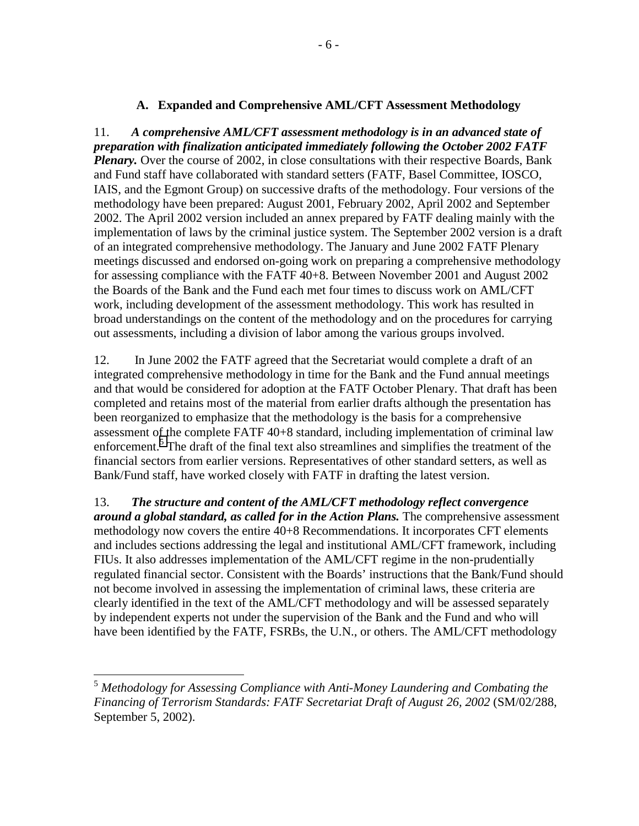#### **A. Expanded and Comprehensive AML/CFT Assessment Methodology**

<span id="page-6-0"></span>11. *A comprehensive AML/CFT assessment methodology is in an advanced state of preparation with finalization anticipated immediately following the October 2002 FATF Plenary.* Over the course of 2002, in close consultations with their respective Boards, Bank and Fund staff have collaborated with standard setters (FATF, Basel Committee, IOSCO, IAIS, and the Egmont Group) on successive drafts of the methodology. Four versions of the methodology have been prepared: August 2001, February 2002, April 2002 and September 2002. The April 2002 version included an annex prepared by FATF dealing mainly with the implementation of laws by the criminal justice system. The September 2002 version is a draft of an integrated comprehensive methodology. The January and June 2002 FATF Plenary meetings discussed and endorsed on-going work on preparing a comprehensive methodology for assessing compliance with the FATF 40+8. Between November 2001 and August 2002 the Boards of the Bank and the Fund each met four times to discuss work on AML/CFT work, including development of the assessment methodology. This work has resulted in broad understandings on the content of the methodology and on the procedures for carrying out assessments, including a division of labor among the various groups involved.

12. In June 2002 the FATF agreed that the Secretariat would complete a draft of an integrated comprehensive methodology in time for the Bank and the Fund annual meetings and that would be considered for adoption at the FATF October Plenary. That draft has been completed and retains most of the material from earlier drafts although the presentation has been reorganized to emphasize that the methodology is the basis for a comprehensive assessment of the complete FATF 40+8 standard, including implementation of criminal law enforcement.<sup>5</sup> The draft of the final text also streamlines and simplifies the treatment of the financial sectors from earlier versions. Representatives of other standard setters, as well as Bank/Fund staff, have worked closely with FATF in drafting the latest version.

13. *The structure and content of the AML/CFT methodology reflect convergence around a global standard, as called for in the Action Plans.* The comprehensive assessment methodology now covers the entire 40+8 Recommendations. It incorporates CFT elements and includes sections addressing the legal and institutional AML/CFT framework, including FIUs. It also addresses implementation of the AML/CFT regime in the non-prudentially regulated financial sector. Consistent with the Boards' instructions that the Bank/Fund should not become involved in assessing the implementation of criminal laws, these criteria are clearly identified in the text of the AML/CFT methodology and will be assessed separately by independent experts not under the supervision of the Bank and the Fund and who will have been identified by the FATF, FSRBs, the U.N., or others. The AML/CFT methodology

<sup>5</sup> *Methodology for Assessing Compliance with Anti-Money Laundering and Combating the Financing of Terrorism Standards: FATF Secretariat Draft of August 26, 2002* (SM/02/288, September 5, 2002).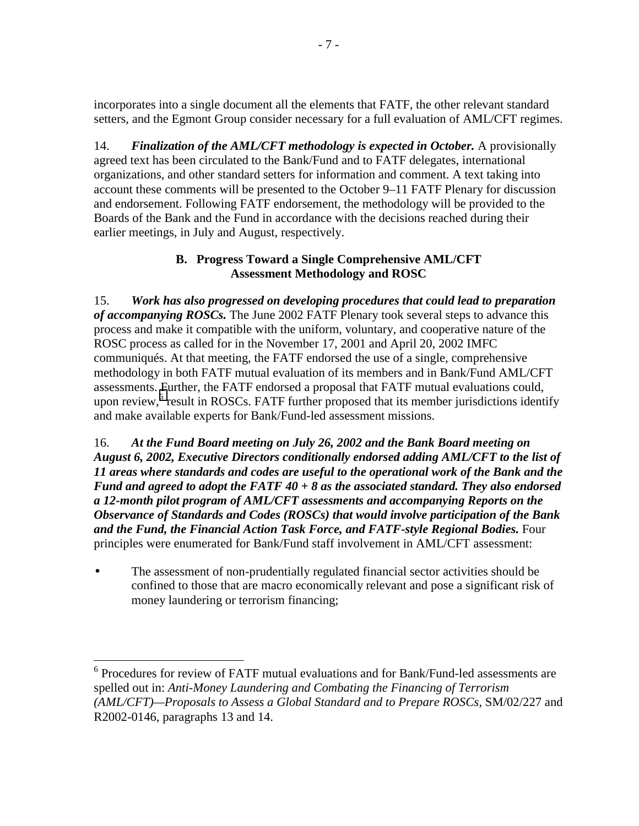<span id="page-7-0"></span>incorporates into a single document all the elements that FATF, the other relevant standard setters, and the Egmont Group consider necessary for a full evaluation of AML/CFT regimes.

14. *Finalization of the AML/CFT methodology is expected in October.* A provisionally agreed text has been circulated to the Bank/Fund and to FATF delegates, international organizations, and other standard setters for information and comment. A text taking into account these comments will be presented to the October 9–11 FATF Plenary for discussion and endorsement. Following FATF endorsement, the methodology will be provided to the Boards of the Bank and the Fund in accordance with the decisions reached during their earlier meetings, in July and August, respectively.

## **B. Progress Toward a Single Comprehensive AML/CFT Assessment Methodology and ROSC**

15. *Work has also progressed on developing procedures that could lead to preparation of accompanying ROSCs.* The June 2002 FATF Plenary took several steps to advance this process and make it compatible with the uniform, voluntary, and cooperative nature of the ROSC process as called for in the November 17, 2001 and April 20, 2002 IMFC communiqués. At that meeting, the FATF endorsed the use of a single, comprehensive methodology in both FATF mutual evaluation of its members and in Bank/Fund AML/CFT assessments. Further, the FATF endorsed a proposal that FATF mutual evaluations could, upon review,<sup>6</sup> result in ROSCs. FATF further proposed that its member jurisdictions identify and make available experts for Bank/Fund-led assessment missions.

16. *At the Fund Board meeting on July 26, 2002 and the Bank Board meeting on August 6, 2002, Executive Directors conditionally endorsed adding AML/CFT to the list of 11 areas where standards and codes are useful to the operational work of the Bank and the Fund and agreed to adopt the FATF 40 + 8 as the associated standard. They also endorsed a 12-month pilot program of AML/CFT assessments and accompanying Reports on the Observance of Standards and Codes (ROSCs) that would involve participation of the Bank and the Fund, the Financial Action Task Force, and FATF-style Regional Bodies.* Four principles were enumerated for Bank/Fund staff involvement in AML/CFT assessment:

• The assessment of non-prudentially regulated financial sector activities should be confined to those that are macro economically relevant and pose a significant risk of money laundering or terrorism financing;

 $\overline{a}$ <sup>6</sup> Procedures for review of FATF mutual evaluations and for Bank/Fund-led assessments are spelled out in: *Anti-Money Laundering and Combating the Financing of Terrorism (AML/CFT)—Proposals to Assess a Global Standard and to Prepare ROSCs,* SM/02/227 and R2002-0146, paragraphs 13 and 14.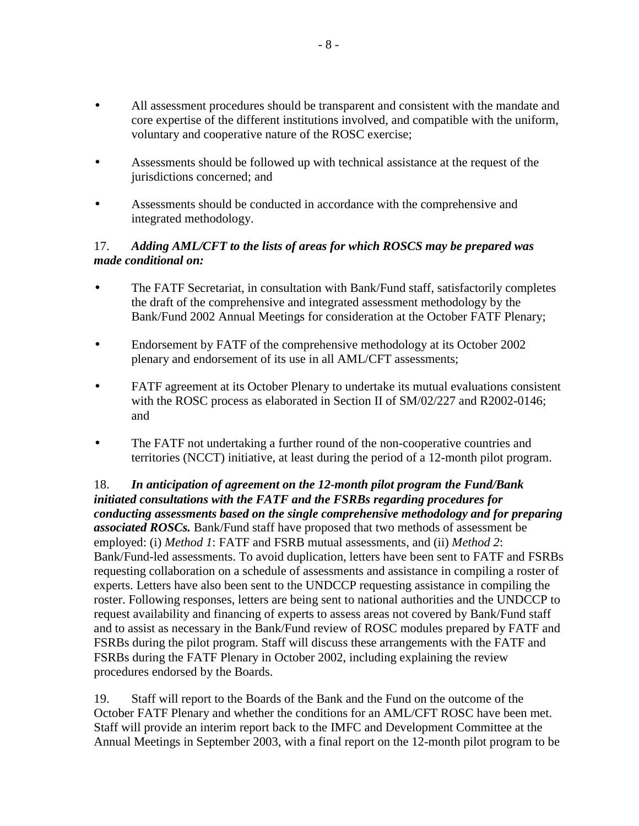- All assessment procedures should be transparent and consistent with the mandate and core expertise of the different institutions involved, and compatible with the uniform, voluntary and cooperative nature of the ROSC exercise;
- Assessments should be followed up with technical assistance at the request of the jurisdictions concerned; and
- Assessments should be conducted in accordance with the comprehensive and integrated methodology.

## 17. *Adding AML/CFT to the lists of areas for which ROSCS may be prepared was made conditional on:*

- The FATF Secretariat, in consultation with Bank/Fund staff, satisfactorily completes the draft of the comprehensive and integrated assessment methodology by the Bank/Fund 2002 Annual Meetings for consideration at the October FATF Plenary;
- Endorsement by FATF of the comprehensive methodology at its October 2002 plenary and endorsement of its use in all AML/CFT assessments;
- FATF agreement at its October Plenary to undertake its mutual evaluations consistent with the ROSC process as elaborated in Section II of SM/02/227 and R2002-0146; and
- The FATF not undertaking a further round of the non-cooperative countries and territories (NCCT) initiative, at least during the period of a 12-month pilot program.

18. *In anticipation of agreement on the 12-month pilot program the Fund/Bank initiated consultations with the FATF and the FSRBs regarding procedures for conducting assessments based on the single comprehensive methodology and for preparing associated ROSCs.* Bank/Fund staff have proposed that two methods of assessment be employed: (i) *Method 1*: FATF and FSRB mutual assessments, and (ii) *Method 2*: Bank/Fund-led assessments. To avoid duplication, letters have been sent to FATF and FSRBs requesting collaboration on a schedule of assessments and assistance in compiling a roster of experts. Letters have also been sent to the UNDCCP requesting assistance in compiling the roster. Following responses, letters are being sent to national authorities and the UNDCCP to request availability and financing of experts to assess areas not covered by Bank/Fund staff and to assist as necessary in the Bank/Fund review of ROSC modules prepared by FATF and FSRBs during the pilot program. Staff will discuss these arrangements with the FATF and FSRBs during the FATF Plenary in October 2002, including explaining the review procedures endorsed by the Boards.

19. Staff will report to the Boards of the Bank and the Fund on the outcome of the October FATF Plenary and whether the conditions for an AML/CFT ROSC have been met. Staff will provide an interim report back to the IMFC and Development Committee at the Annual Meetings in September 2003, with a final report on the 12-month pilot program to be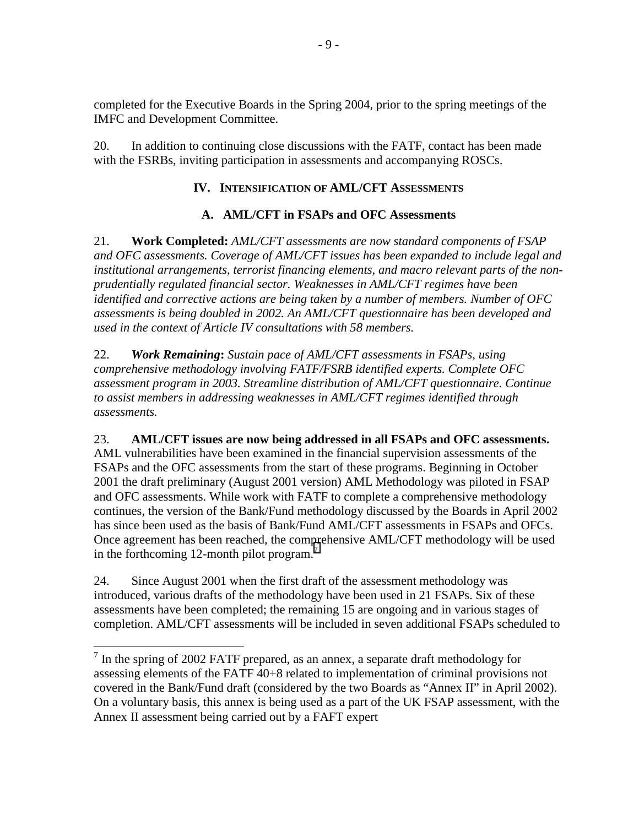<span id="page-9-0"></span>completed for the Executive Boards in the Spring 2004, prior to the spring meetings of the IMFC and Development Committee.

20. In addition to continuing close discussions with the FATF, contact has been made with the FSRBs, inviting participation in assessments and accompanying ROSCs.

## **IV. INTENSIFICATION OF AML/CFT ASSESSMENTS**

## **A. AML/CFT in FSAPs and OFC Assessments**

21. **Work Completed:** *AML/CFT assessments are now standard components of FSAP and OFC assessments. Coverage of AML/CFT issues has been expanded to include legal and institutional arrangements, terrorist financing elements, and macro relevant parts of the nonprudentially regulated financial sector. Weaknesses in AML/CFT regimes have been identified and corrective actions are being taken by a number of members. Number of OFC assessments is being doubled in 2002. An AML/CFT questionnaire has been developed and used in the context of Article IV consultations with 58 members.*

22. *Work Remaining***:** *Sustain pace of AML/CFT assessments in FSAPs, using comprehensive methodology involving FATF/FSRB identified experts. Complete OFC assessment program in 2003. Streamline distribution of AML/CFT questionnaire. Continue to assist members in addressing weaknesses in AML/CFT regimes identified through assessments.*

23. **AML/CFT issues are now being addressed in all FSAPs and OFC assessments.** AML vulnerabilities have been examined in the financial supervision assessments of the FSAPs and the OFC assessments from the start of these programs. Beginning in October 2001 the draft preliminary (August 2001 version) AML Methodology was piloted in FSAP and OFC assessments. While work with FATF to complete a comprehensive methodology continues, the version of the Bank/Fund methodology discussed by the Boards in April 2002 has since been used as the basis of Bank/Fund AML/CFT assessments in FSAPs and OFCs. Once agreement has been reached, the comprehensive AML/CFT methodology will be used in the forthcoming 12-month pilot program. $\overline{a}$ 

24. Since August 2001 when the first draft of the assessment methodology was introduced, various drafts of the methodology have been used in 21 FSAPs. Six of these assessments have been completed; the remaining 15 are ongoing and in various stages of completion. AML/CFT assessments will be included in seven additional FSAPs scheduled to

 $<sup>7</sup>$  In the spring of 2002 FATF prepared, as an annex, a separate draft methodology for</sup> assessing elements of the FATF 40+8 related to implementation of criminal provisions not covered in the Bank/Fund draft (considered by the two Boards as "Annex II" in April 2002). On a voluntary basis, this annex is being used as a part of the UK FSAP assessment, with the Annex II assessment being carried out by a FAFT expert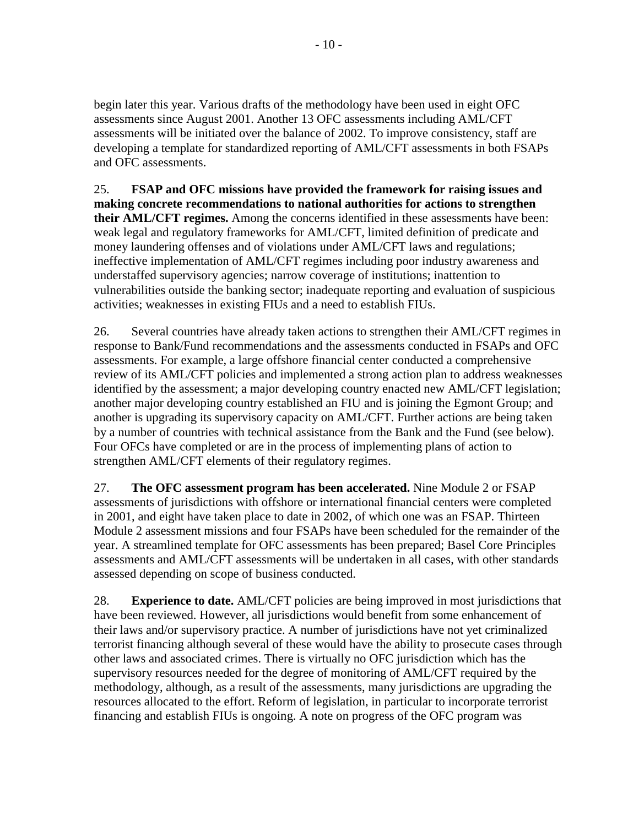begin later this year. Various drafts of the methodology have been used in eight OFC assessments since August 2001. Another 13 OFC assessments including AML/CFT assessments will be initiated over the balance of 2002. To improve consistency, staff are developing a template for standardized reporting of AML/CFT assessments in both FSAPs and OFC assessments.

25. **FSAP and OFC missions have provided the framework for raising issues and making concrete recommendations to national authorities for actions to strengthen their AML/CFT regimes.** Among the concerns identified in these assessments have been: weak legal and regulatory frameworks for AML/CFT, limited definition of predicate and money laundering offenses and of violations under AML/CFT laws and regulations; ineffective implementation of AML/CFT regimes including poor industry awareness and understaffed supervisory agencies; narrow coverage of institutions; inattention to vulnerabilities outside the banking sector; inadequate reporting and evaluation of suspicious activities; weaknesses in existing FIUs and a need to establish FIUs.

26. Several countries have already taken actions to strengthen their AML/CFT regimes in response to Bank/Fund recommendations and the assessments conducted in FSAPs and OFC assessments. For example, a large offshore financial center conducted a comprehensive review of its AML/CFT policies and implemented a strong action plan to address weaknesses identified by the assessment; a major developing country enacted new AML/CFT legislation; another major developing country established an FIU and is joining the Egmont Group; and another is upgrading its supervisory capacity on AML/CFT. Further actions are being taken by a number of countries with technical assistance from the Bank and the Fund (see below). Four OFCs have completed or are in the process of implementing plans of action to strengthen AML/CFT elements of their regulatory regimes.

27. **The OFC assessment program has been accelerated.** Nine Module 2 or FSAP assessments of jurisdictions with offshore or international financial centers were completed in 2001, and eight have taken place to date in 2002, of which one was an FSAP. Thirteen Module 2 assessment missions and four FSAPs have been scheduled for the remainder of the year. A streamlined template for OFC assessments has been prepared; Basel Core Principles assessments and AML/CFT assessments will be undertaken in all cases, with other standards assessed depending on scope of business conducted.

28. **Experience to date.** AML/CFT policies are being improved in most jurisdictions that have been reviewed. However, all jurisdictions would benefit from some enhancement of their laws and/or supervisory practice. A number of jurisdictions have not yet criminalized terrorist financing although several of these would have the ability to prosecute cases through other laws and associated crimes. There is virtually no OFC jurisdiction which has the supervisory resources needed for the degree of monitoring of AML/CFT required by the methodology, although, as a result of the assessments, many jurisdictions are upgrading the resources allocated to the effort. Reform of legislation, in particular to incorporate terrorist financing and establish FIUs is ongoing. A note on progress of the OFC program was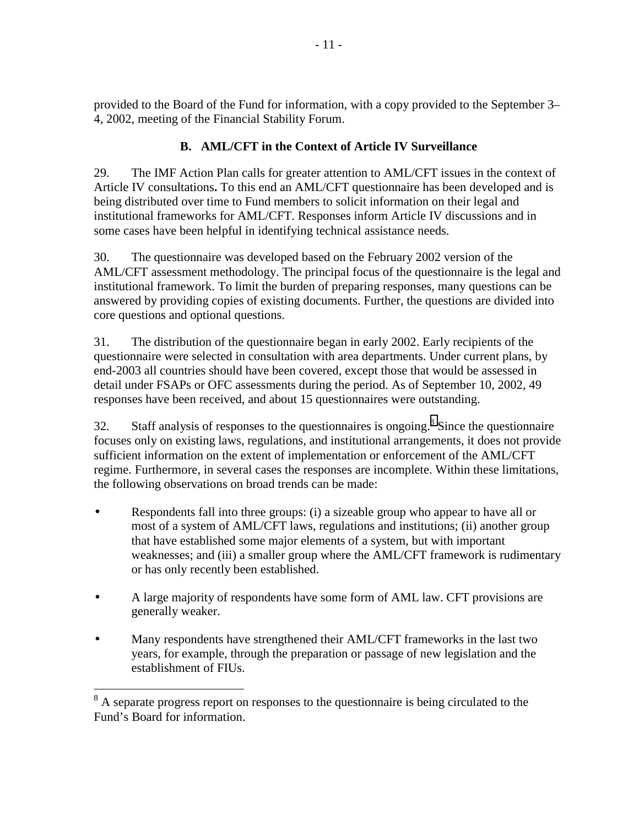<span id="page-11-0"></span>provided to the Board of the Fund for information, with a copy provided to the September 3– 4, 2002, meeting of the Financial Stability Forum.

## **B. AML/CFT in the Context of Article IV Surveillance**

29. The IMF Action Plan calls for greater attention to AML/CFT issues in the context of Article IV consultations**.** To this end an AML/CFT questionnaire has been developed and is being distributed over time to Fund members to solicit information on their legal and institutional frameworks for AML/CFT. Responses inform Article IV discussions and in some cases have been helpful in identifying technical assistance needs.

30. The questionnaire was developed based on the February 2002 version of the AML/CFT assessment methodology. The principal focus of the questionnaire is the legal and institutional framework. To limit the burden of preparing responses, many questions can be answered by providing copies of existing documents. Further, the questions are divided into core questions and optional questions.

31. The distribution of the questionnaire began in early 2002. Early recipients of the questionnaire were selected in consultation with area departments. Under current plans, by end-2003 all countries should have been covered, except those that would be assessed in detail under FSAPs or OFC assessments during the period. As of September 10, 2002, 49 responses have been received, and about 15 questionnaires were outstanding.

32. Staff analysis of responses to the questionnaires is ongoing.<sup>8</sup> Since the questionnaire focuses only on existing laws, regulations, and institutional arrangements, it does not provide sufficient information on the extent of implementation or enforcement of the AML/CFT regime. Furthermore, in several cases the responses are incomplete. Within these limitations, the following observations on broad trends can be made:

- Respondents fall into three groups: (i) a sizeable group who appear to have all or most of a system of AML/CFT laws, regulations and institutions; (ii) another group that have established some major elements of a system, but with important weaknesses; and (iii) a smaller group where the AML/CFT framework is rudimentary or has only recently been established.
- A large majority of respondents have some form of AML law. CFT provisions are generally weaker.
- Many respondents have strengthened their AML/CFT frameworks in the last two years, for example, through the preparation or passage of new legislation and the establishment of FIUs.

<sup>&</sup>lt;sup>8</sup> A separate progress report on responses to the questionnaire is being circulated to the Fund's Board for information.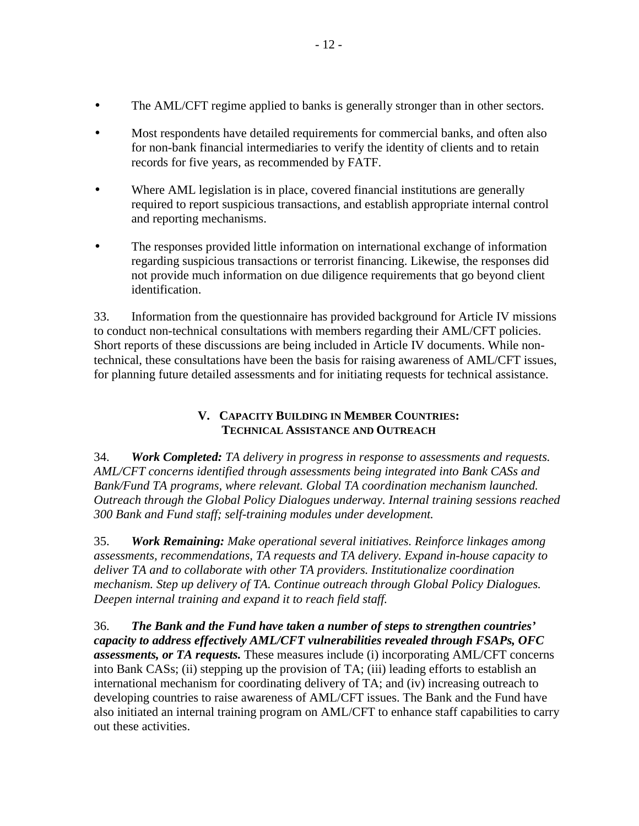- <span id="page-12-0"></span>The AML/CFT regime applied to banks is generally stronger than in other sectors.
- Most respondents have detailed requirements for commercial banks, and often also for non-bank financial intermediaries to verify the identity of clients and to retain records for five years, as recommended by FATF.
- Where AML legislation is in place, covered financial institutions are generally required to report suspicious transactions, and establish appropriate internal control and reporting mechanisms.
- The responses provided little information on international exchange of information regarding suspicious transactions or terrorist financing. Likewise, the responses did not provide much information on due diligence requirements that go beyond client identification.

33. Information from the questionnaire has provided background for Article IV missions to conduct non-technical consultations with members regarding their AML/CFT policies. Short reports of these discussions are being included in Article IV documents. While nontechnical, these consultations have been the basis for raising awareness of AML/CFT issues, for planning future detailed assessments and for initiating requests for technical assistance.

## **V. CAPACITY BUILDING IN MEMBER COUNTRIES: TECHNICAL ASSISTANCE AND OUTREACH**

34. *Work Completed: TA delivery in progress in response to assessments and requests. AML/CFT concerns identified through assessments being integrated into Bank CASs and Bank/Fund TA programs, where relevant. Global TA coordination mechanism launched. Outreach through the Global Policy Dialogues underway. Internal training sessions reached 300 Bank and Fund staff; self-training modules under development.* 

35. *Work Remaining: Make operational several initiatives. Reinforce linkages among assessments, recommendations, TA requests and TA delivery. Expand in-house capacity to deliver TA and to collaborate with other TA providers. Institutionalize coordination mechanism. Step up delivery of TA. Continue outreach through Global Policy Dialogues. Deepen internal training and expand it to reach field staff.* 

36. *The Bank and the Fund have taken a number of steps to strengthen countries' capacity to address effectively AML/CFT vulnerabilities revealed through FSAPs, OFC assessments, or TA requests.* These measures include (i) incorporating AML/CFT concerns into Bank CASs; (ii) stepping up the provision of TA; (iii) leading efforts to establish an international mechanism for coordinating delivery of TA; and (iv) increasing outreach to developing countries to raise awareness of AML/CFT issues. The Bank and the Fund have also initiated an internal training program on AML/CFT to enhance staff capabilities to carry out these activities.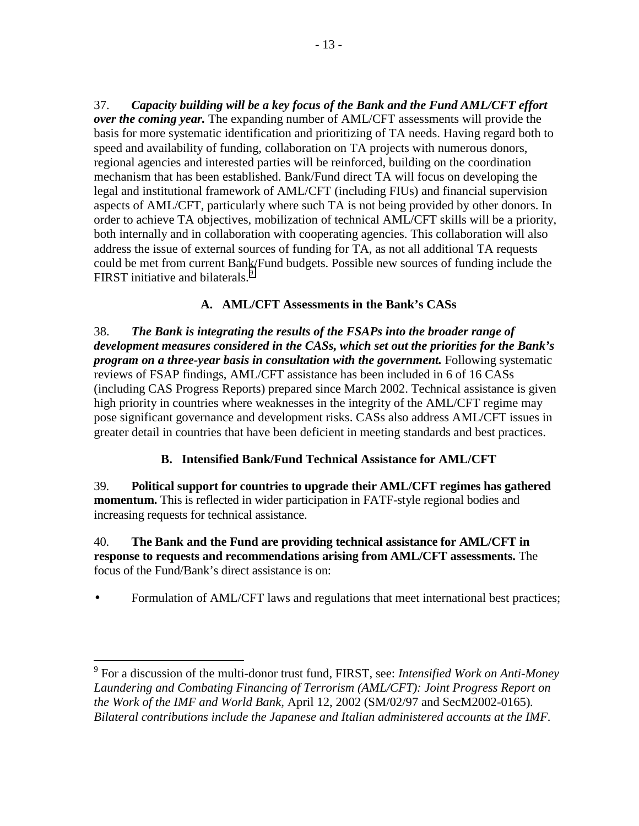<span id="page-13-0"></span>37. *Capacity building will be a key focus of the Bank and the Fund AML/CFT effort over the coming year.* The expanding number of AML/CFT assessments will provide the basis for more systematic identification and prioritizing of TA needs. Having regard both to speed and availability of funding, collaboration on TA projects with numerous donors, regional agencies and interested parties will be reinforced, building on the coordination mechanism that has been established. Bank/Fund direct TA will focus on developing the legal and institutional framework of AML/CFT (including FIUs) and financial supervision aspects of AML/CFT, particularly where such TA is not being provided by other donors. In order to achieve TA objectives, mobilization of technical AML/CFT skills will be a priority, both internally and in collaboration with cooperating agencies. This collaboration will also address the issue of external sources of funding for TA, as not all additional TA requests could be met from current Bank/Fund budgets. Possible new sources of funding include the FIRST initiative and bilaterals.<sup>9</sup>

## **A. AML/CFT Assessments in the Bank's CASs**

38. *The Bank is integrating the results of the FSAPs into the broader range of development measures considered in the CASs, which set out the priorities for the Bank's program on a three-year basis in consultation with the government.* Following systematic reviews of FSAP findings, AML/CFT assistance has been included in 6 of 16 CASs (including CAS Progress Reports) prepared since March 2002. Technical assistance is given high priority in countries where weaknesses in the integrity of the AML/CFT regime may pose significant governance and development risks. CASs also address AML/CFT issues in greater detail in countries that have been deficient in meeting standards and best practices.

## **B. Intensified Bank/Fund Technical Assistance for AML/CFT**

39. **Political support for countries to upgrade their AML/CFT regimes has gathered momentum.** This is reflected in wider participation in FATF-style regional bodies and increasing requests for technical assistance.

### 40. **The Bank and the Fund are providing technical assistance for AML/CFT in response to requests and recommendations arising from AML/CFT assessments.** The focus of the Fund/Bank's direct assistance is on:

• Formulation of AML/CFT laws and regulations that meet international best practices;

<sup>9</sup> For a discussion of the multi-donor trust fund, FIRST, see: *Intensified Work on Anti-Money Laundering and Combating Financing of Terrorism (AML/CFT): Joint Progress Report on the Work of the IMF and World Bank,* April 12, 2002 (SM/02/97 and SecM2002-0165)*. Bilateral contributions include the Japanese and Italian administered accounts at the IMF.*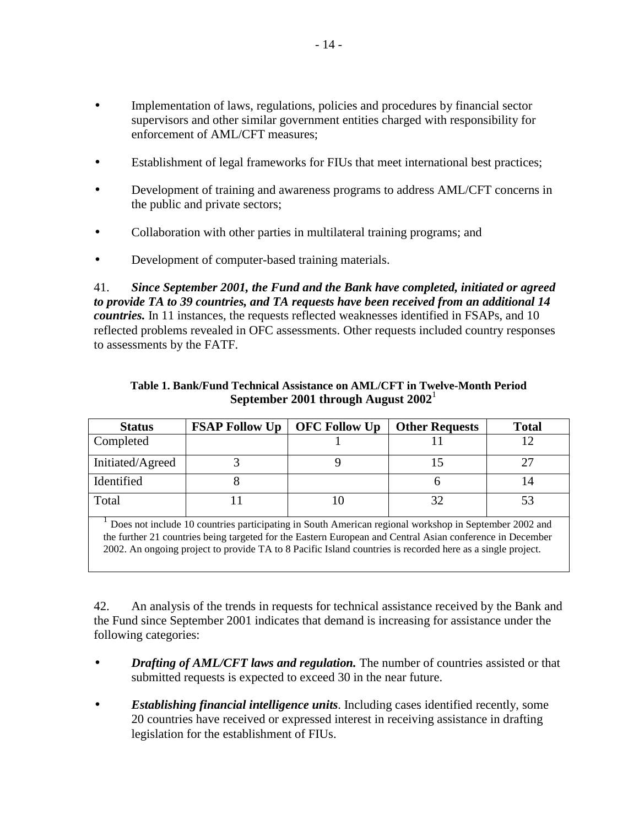- Implementation of laws, regulations, policies and procedures by financial sector supervisors and other similar government entities charged with responsibility for enforcement of AML/CFT measures;
- Establishment of legal frameworks for FIUs that meet international best practices;
- Development of training and awareness programs to address AML/CFT concerns in the public and private sectors;
- Collaboration with other parties in multilateral training programs; and
- Development of computer-based training materials.

41. *Since September 2001, the Fund and the Bank have completed, initiated or agreed to provide TA to 39 countries, and TA requests have been received from an additional 14 countries.* In 11 instances, the requests reflected weaknesses identified in FSAPs, and 10 reflected problems revealed in OFC assessments. Other requests included country responses to assessments by the FATF.

| <b>Status</b>                                                                                         | <b>FSAP Follow Up</b> | <b>OFC Follow Up</b> | <b>Other Requests</b> | <b>Total</b> |  |
|-------------------------------------------------------------------------------------------------------|-----------------------|----------------------|-----------------------|--------------|--|
| Completed                                                                                             |                       |                      |                       |              |  |
| Initiated/Agreed                                                                                      |                       |                      |                       |              |  |
| Identified                                                                                            |                       |                      |                       | 14           |  |
| Total                                                                                                 |                       |                      | 32                    | 53           |  |
| Does not include 10 countries participating in South American regional workshop in September 2002 and |                       |                      |                       |              |  |

#### **Table 1. Bank/Fund Technical Assistance on AML/CFT in Twelve-Month Period September 2001 through August 2002**<sup>1</sup>

the further 21 countries being targeted for the Eastern European and Central Asian conference in December 2002. An ongoing project to provide TA to 8 Pacific Island countries is recorded here as a single project.

42. An analysis of the trends in requests for technical assistance received by the Bank and the Fund since September 2001 indicates that demand is increasing for assistance under the following categories:

- *Drafting of AML/CFT laws and regulation.* The number of countries assisted or that submitted requests is expected to exceed 30 in the near future.
- *Establishing financial intelligence units*. Including cases identified recently, some 20 countries have received or expressed interest in receiving assistance in drafting legislation for the establishment of FIUs.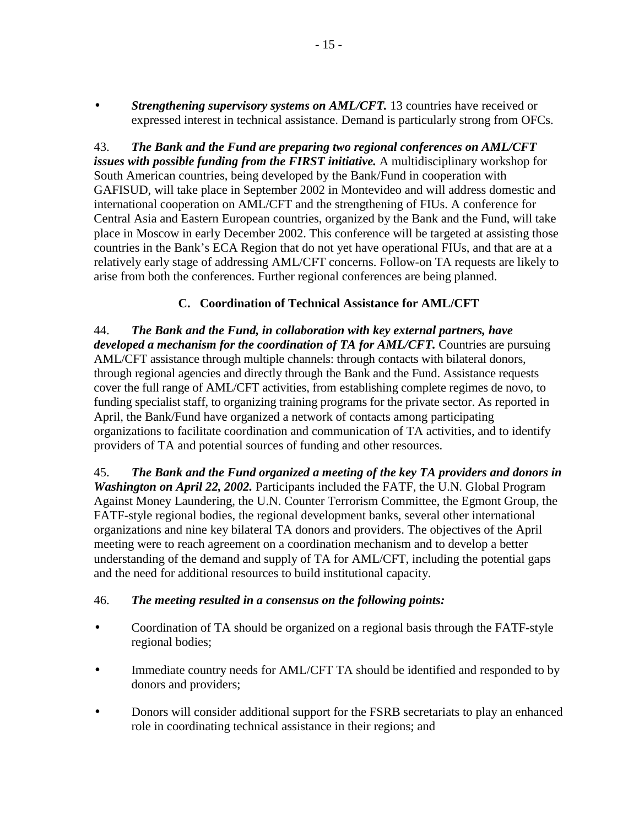<span id="page-15-0"></span>• *Strengthening supervisory systems on AML/CFT.* 13 countries have received or expressed interest in technical assistance. Demand is particularly strong from OFCs.

43. *The Bank and the Fund are preparing two regional conferences on AML/CFT issues with possible funding from the FIRST initiative.* A multidisciplinary workshop for South American countries, being developed by the Bank/Fund in cooperation with GAFISUD, will take place in September 2002 in Montevideo and will address domestic and international cooperation on AML/CFT and the strengthening of FIUs. A conference for Central Asia and Eastern European countries, organized by the Bank and the Fund, will take place in Moscow in early December 2002. This conference will be targeted at assisting those countries in the Bank's ECA Region that do not yet have operational FIUs, and that are at a relatively early stage of addressing AML/CFT concerns. Follow-on TA requests are likely to arise from both the conferences. Further regional conferences are being planned.

## **C. Coordination of Technical Assistance for AML/CFT**

44. *The Bank and the Fund, in collaboration with key external partners, have developed a mechanism for the coordination of TA for AML/CFT.* Countries are pursuing AML/CFT assistance through multiple channels: through contacts with bilateral donors, through regional agencies and directly through the Bank and the Fund. Assistance requests cover the full range of AML/CFT activities, from establishing complete regimes de novo, to funding specialist staff, to organizing training programs for the private sector. As reported in April, the Bank/Fund have organized a network of contacts among participating organizations to facilitate coordination and communication of TA activities, and to identify providers of TA and potential sources of funding and other resources.

45. *The Bank and the Fund organized a meeting of the key TA providers and donors in Washington on April 22, 2002.* Participants included the FATF, the U.N. Global Program Against Money Laundering, the U.N. Counter Terrorism Committee, the Egmont Group, the FATF-style regional bodies, the regional development banks, several other international organizations and nine key bilateral TA donors and providers. The objectives of the April meeting were to reach agreement on a coordination mechanism and to develop a better understanding of the demand and supply of TA for AML/CFT, including the potential gaps and the need for additional resources to build institutional capacity.

## 46. *The meeting resulted in a consensus on the following points:*

- Coordination of TA should be organized on a regional basis through the FATF-style regional bodies;
- Immediate country needs for AML/CFT TA should be identified and responded to by donors and providers;
- Donors will consider additional support for the FSRB secretariats to play an enhanced role in coordinating technical assistance in their regions; and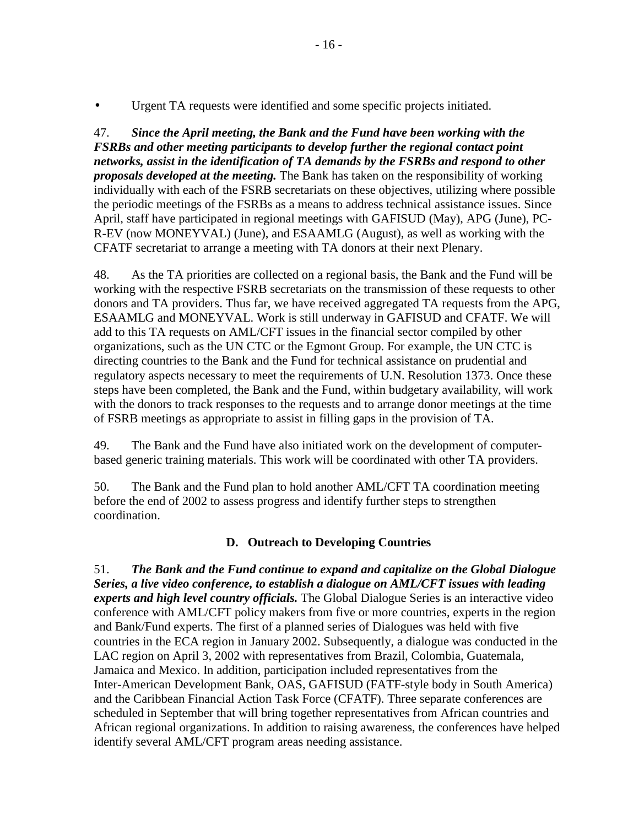<span id="page-16-0"></span>Urgent TA requests were identified and some specific projects initiated.

47. *Since the April meeting, the Bank and the Fund have been working with the FSRBs and other meeting participants to develop further the regional contact point networks, assist in the identification of TA demands by the FSRBs and respond to other proposals developed at the meeting.* The Bank has taken on the responsibility of working individually with each of the FSRB secretariats on these objectives, utilizing where possible the periodic meetings of the FSRBs as a means to address technical assistance issues. Since April, staff have participated in regional meetings with GAFISUD (May), APG (June), PC-R-EV (now MONEYVAL) (June), and ESAAMLG (August), as well as working with the CFATF secretariat to arrange a meeting with TA donors at their next Plenary.

48. As the TA priorities are collected on a regional basis, the Bank and the Fund will be working with the respective FSRB secretariats on the transmission of these requests to other donors and TA providers. Thus far, we have received aggregated TA requests from the APG, ESAAMLG and MONEYVAL. Work is still underway in GAFISUD and CFATF. We will add to this TA requests on AML/CFT issues in the financial sector compiled by other organizations, such as the UN CTC or the Egmont Group. For example, the UN CTC is directing countries to the Bank and the Fund for technical assistance on prudential and regulatory aspects necessary to meet the requirements of U.N. Resolution 1373. Once these steps have been completed, the Bank and the Fund, within budgetary availability, will work with the donors to track responses to the requests and to arrange donor meetings at the time of FSRB meetings as appropriate to assist in filling gaps in the provision of TA.

49. The Bank and the Fund have also initiated work on the development of computerbased generic training materials. This work will be coordinated with other TA providers.

50. The Bank and the Fund plan to hold another AML/CFT TA coordination meeting before the end of 2002 to assess progress and identify further steps to strengthen coordination.

## **D. Outreach to Developing Countries**

51. *The Bank and the Fund continue to expand and capitalize on the Global Dialogue Series, a live video conference, to establish a dialogue on AML/CFT issues with leading experts and high level country officials.* The Global Dialogue Series is an interactive video conference with AML/CFT policy makers from five or more countries, experts in the region and Bank/Fund experts. The first of a planned series of Dialogues was held with five countries in the ECA region in January 2002. Subsequently, a dialogue was conducted in the LAC region on April 3, 2002 with representatives from Brazil, Colombia, Guatemala, Jamaica and Mexico. In addition, participation included representatives from the Inter-American Development Bank, OAS, GAFISUD (FATF-style body in South America) and the Caribbean Financial Action Task Force (CFATF). Three separate conferences are scheduled in September that will bring together representatives from African countries and African regional organizations. In addition to raising awareness, the conferences have helped identify several AML/CFT program areas needing assistance.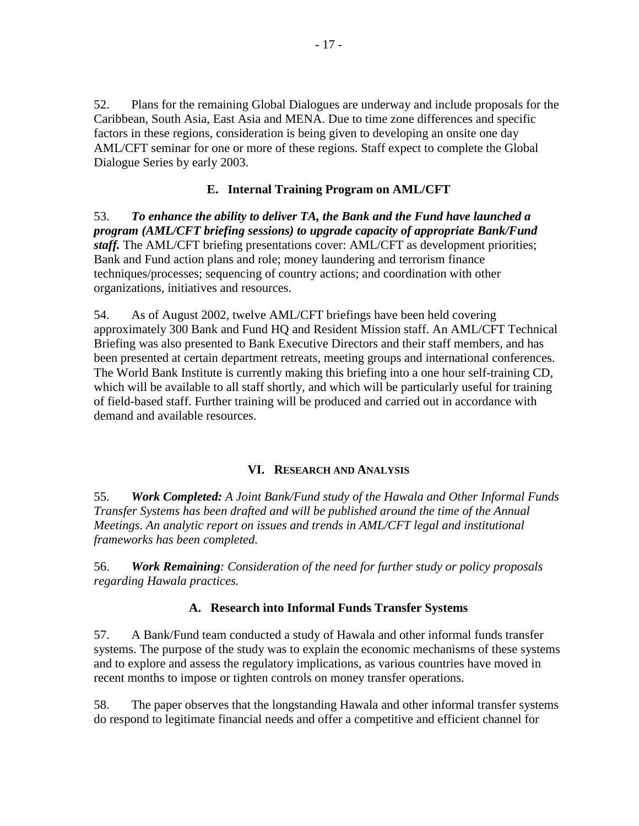<span id="page-17-0"></span>52. Plans for the remaining Global Dialogues are underway and include proposals for the Caribbean, South Asia, East Asia and MENA. Due to time zone differences and specific factors in these regions, consideration is being given to developing an onsite one day AML/CFT seminar for one or more of these regions. Staff expect to complete the Global Dialogue Series by early 2003.

## **E. Internal Training Program on AML/CFT**

53. *To enhance the ability to deliver TA, the Bank and the Fund have launched a program (AML/CFT briefing sessions) to upgrade capacity of appropriate Bank/Fund staff.* The AML/CFT briefing presentations cover: AML/CFT as development priorities; Bank and Fund action plans and role; money laundering and terrorism finance techniques/processes; sequencing of country actions; and coordination with other organizations, initiatives and resources.

54. As of August 2002, twelve AML/CFT briefings have been held covering approximately 300 Bank and Fund HQ and Resident Mission staff. An AML/CFT Technical Briefing was also presented to Bank Executive Directors and their staff members, and has been presented at certain department retreats, meeting groups and international conferences. The World Bank Institute is currently making this briefing into a one hour self-training CD, which will be available to all staff shortly, and which will be particularly useful for training of field-based staff. Further training will be produced and carried out in accordance with demand and available resources.

#### **VI. RESEARCH AND ANALYSIS**

55. *Work Completed: A Joint Bank/Fund study of the Hawala and Other Informal Funds Transfer Systems has been drafted and will be published around the time of the Annual Meetings. An analytic report on issues and trends in AML/CFT legal and institutional frameworks has been completed.* 

56. *Work Remaining: Consideration of the need for further study or policy proposals regarding Hawala practices.* 

## **A. Research into Informal Funds Transfer Systems**

57. A Bank/Fund team conducted a study of Hawala and other informal funds transfer systems. The purpose of the study was to explain the economic mechanisms of these systems and to explore and assess the regulatory implications, as various countries have moved in recent months to impose or tighten controls on money transfer operations.

58. The paper observes that the longstanding Hawala and other informal transfer systems do respond to legitimate financial needs and offer a competitive and efficient channel for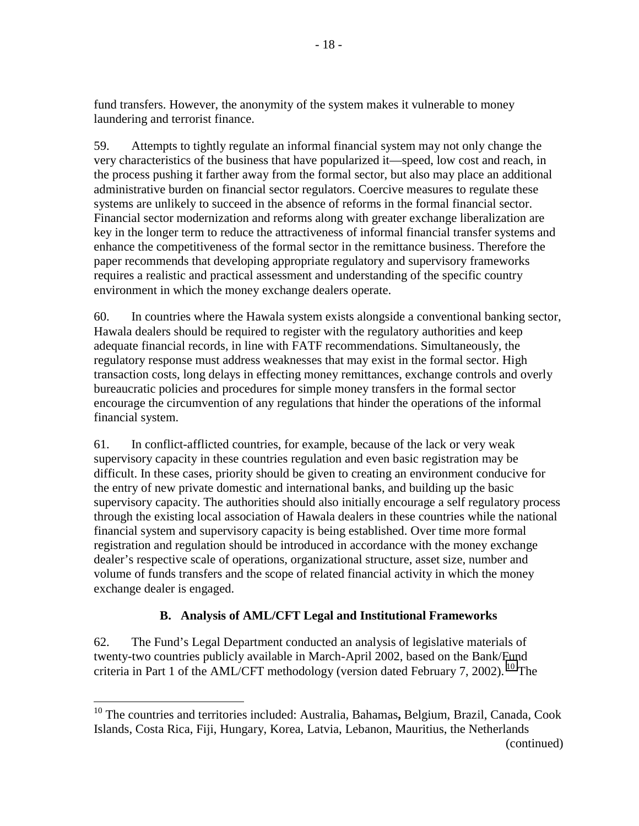<span id="page-18-0"></span>fund transfers. However, the anonymity of the system makes it vulnerable to money laundering and terrorist finance.

59. Attempts to tightly regulate an informal financial system may not only change the very characteristics of the business that have popularized it—speed, low cost and reach, in the process pushing it farther away from the formal sector, but also may place an additional administrative burden on financial sector regulators. Coercive measures to regulate these systems are unlikely to succeed in the absence of reforms in the formal financial sector. Financial sector modernization and reforms along with greater exchange liberalization are key in the longer term to reduce the attractiveness of informal financial transfer systems and enhance the competitiveness of the formal sector in the remittance business. Therefore the paper recommends that developing appropriate regulatory and supervisory frameworks requires a realistic and practical assessment and understanding of the specific country environment in which the money exchange dealers operate.

60. In countries where the Hawala system exists alongside a conventional banking sector, Hawala dealers should be required to register with the regulatory authorities and keep adequate financial records, in line with FATF recommendations. Simultaneously, the regulatory response must address weaknesses that may exist in the formal sector. High transaction costs, long delays in effecting money remittances, exchange controls and overly bureaucratic policies and procedures for simple money transfers in the formal sector encourage the circumvention of any regulations that hinder the operations of the informal financial system.

61. In conflict-afflicted countries, for example, because of the lack or very weak supervisory capacity in these countries regulation and even basic registration may be difficult. In these cases, priority should be given to creating an environment conducive for the entry of new private domestic and international banks, and building up the basic supervisory capacity. The authorities should also initially encourage a self regulatory process through the existing local association of Hawala dealers in these countries while the national financial system and supervisory capacity is being established. Over time more formal registration and regulation should be introduced in accordance with the money exchange dealer's respective scale of operations, organizational structure, asset size, number and volume of funds transfers and the scope of related financial activity in which the money exchange dealer is engaged.

## **B. Analysis of AML/CFT Legal and Institutional Frameworks**

62. The Fund's Legal Department conducted an analysis of legislative materials of twenty-two countries publicly available in March-April 2002, based on the Bank/Fund criteria in Part 1 of the AML/CFT methodology (version dated February 7, 2002). <sup>10</sup> The

1

<sup>10</sup> The countries and territories included: Australia, Bahamas**,** Belgium, Brazil, Canada, Cook Islands, Costa Rica, Fiji, Hungary, Korea, Latvia, Lebanon, Mauritius, the Netherlands (continued)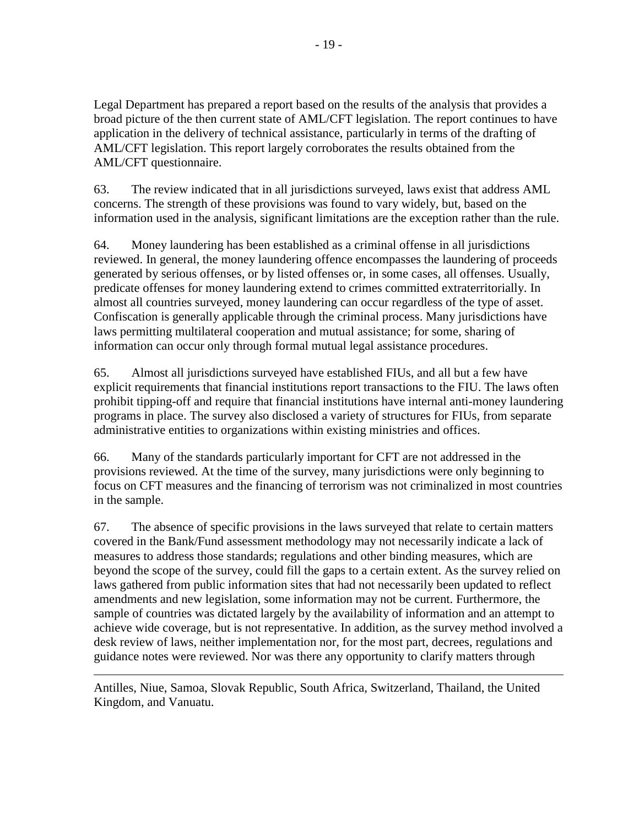Legal Department has prepared a report based on the results of the analysis that provides a broad picture of the then current state of AML/CFT legislation. The report continues to have application in the delivery of technical assistance, particularly in terms of the drafting of AML/CFT legislation. This report largely corroborates the results obtained from the AML/CFT questionnaire.

63. The review indicated that in all jurisdictions surveyed, laws exist that address AML concerns. The strength of these provisions was found to vary widely, but, based on the information used in the analysis, significant limitations are the exception rather than the rule.

64. Money laundering has been established as a criminal offense in all jurisdictions reviewed. In general, the money laundering offence encompasses the laundering of proceeds generated by serious offenses, or by listed offenses or, in some cases, all offenses. Usually, predicate offenses for money laundering extend to crimes committed extraterritorially. In almost all countries surveyed, money laundering can occur regardless of the type of asset. Confiscation is generally applicable through the criminal process. Many jurisdictions have laws permitting multilateral cooperation and mutual assistance; for some, sharing of information can occur only through formal mutual legal assistance procedures.

65. Almost all jurisdictions surveyed have established FIUs, and all but a few have explicit requirements that financial institutions report transactions to the FIU. The laws often prohibit tipping-off and require that financial institutions have internal anti-money laundering programs in place. The survey also disclosed a variety of structures for FIUs, from separate administrative entities to organizations within existing ministries and offices.

66. Many of the standards particularly important for CFT are not addressed in the provisions reviewed. At the time of the survey, many jurisdictions were only beginning to focus on CFT measures and the financing of terrorism was not criminalized in most countries in the sample.

67. The absence of specific provisions in the laws surveyed that relate to certain matters covered in the Bank/Fund assessment methodology may not necessarily indicate a lack of measures to address those standards; regulations and other binding measures, which are beyond the scope of the survey, could fill the gaps to a certain extent. As the survey relied on laws gathered from public information sites that had not necessarily been updated to reflect amendments and new legislation, some information may not be current. Furthermore, the sample of countries was dictated largely by the availability of information and an attempt to achieve wide coverage, but is not representative. In addition, as the survey method involved a desk review of laws, neither implementation nor, for the most part, decrees, regulations and guidance notes were reviewed. Nor was there any opportunity to clarify matters through

Antilles, Niue, Samoa, Slovak Republic, South Africa, Switzerland, Thailand, the United Kingdom, and Vanuatu.